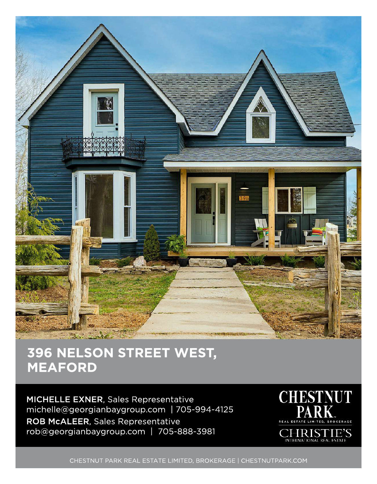

## 396 NELSON STREET WEST, MEAFORD

MICHELLE EXNER, Sales Representative michelle@georgianbaygroup.com | 705-994-4125 ROB McALEER, Sales Representative rob@georgianbaygroup.com | 705-888-3981



CHESTNUT PARK REAL ESTATE LIMITED, BROKERAGE | CHESTNUTPARK.COM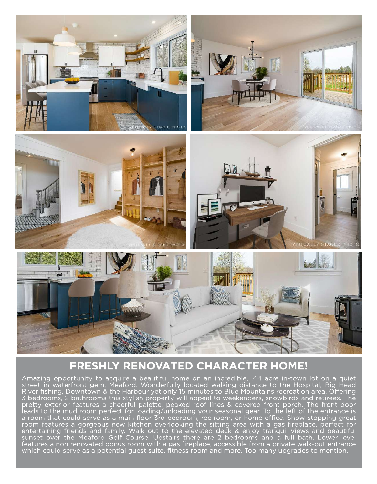

## FRESHLY RENOVATED CHARACTER HOME!

Amazing opportunity to acquire a beautiful home on an incredible, .44 acre in-town lot on a quiet street in waterfront gem, Meaford. Wonderfully located walking distance to the Hospital, Big Head River fishing, Downtown & the Harbour yet only 15 minutes to Blue Mountains recreation area. Offering 3 bedrooms, 2 bathrooms this stylish property will appeal to weekenders, snowbirds and retirees. The pretty exterior features a cheerful palette, peaked roof lines & covered front porch. The front door leads to the mud room perfect for loading/ unloading your seasonal gear. To the left of the entrance is a room that could serve as a main floor 3rd bedroom, rec room, or home office. Show-stopping great room features a gorgeous new kitchen overlooking the sitting area with a gas fireplace, perfect for entertaining friends and family. Walk out to the elevated deck & enjoy tranquil views and beautiful sunset over the Meaford Golf Course. Upstairs there are 2 bedrooms and a full bath. Lower level features a non renovated bonus room with a gas fireplace, accessible from a private walk-out entrance which could serve as a potential guest suite, fitness room and more. Too many upgrades to mention.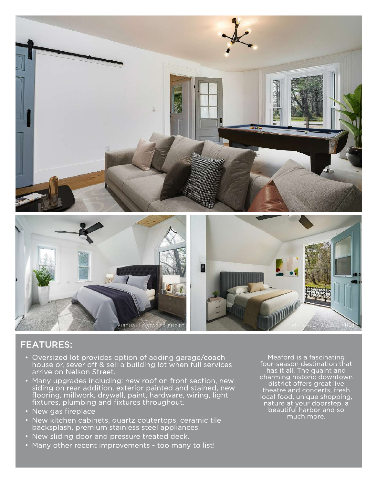

## FEATURES:

- Oversized lot provides option of adding garage/ coach house or, sever off & sell a building lot when full services arrive on Nelson Street.
- Many upgrades including: new roof on front section, new siding on rear addition, exterior painted and stained, new flooring, millwork, drywall, paint, hardware, wiring, light fixtures, plumbing and fixtures throughout.
- New gas fireplace
- New kitchen cabinets, quartz coutertops, ceramic tile backsplash, premium stainless steel appliances.
- New sliding door and pressure treated deck.
- Many other recent improvements too many to list!

Meaford is a fascinating four-season destination that has it all! The quaint and charming historic downtown district offers great live theatre and concerts, fresh local food, unique shopping, nature at your doorstep, a beautiful harbor and so much more.